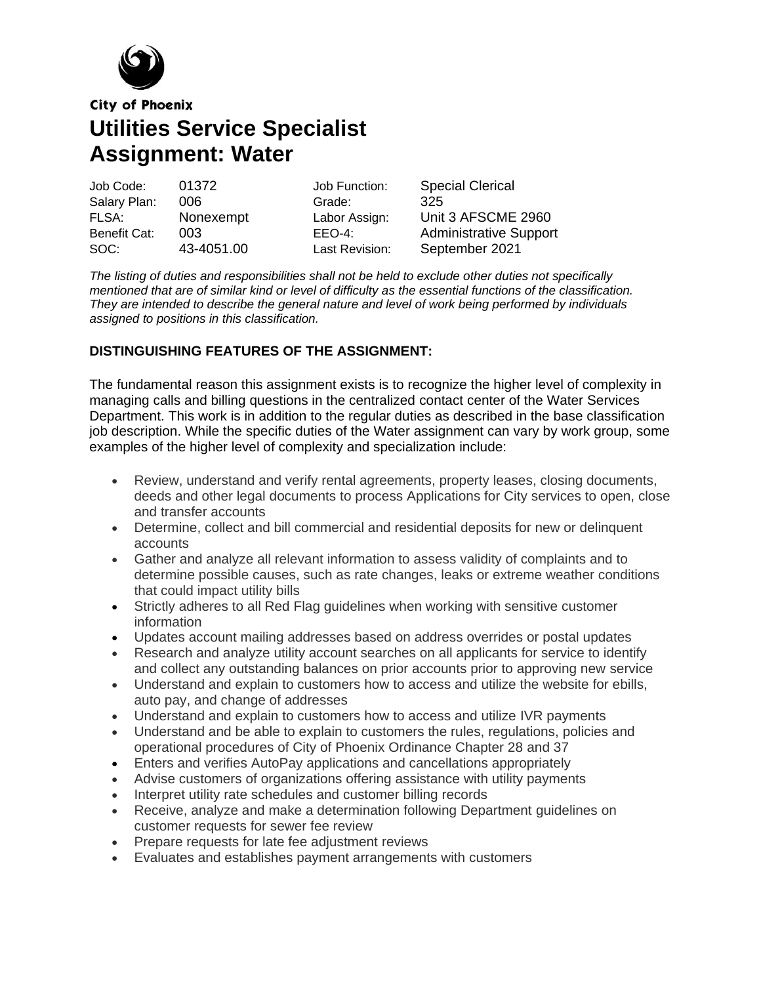

**City of Phoenix** 

**Utilities Service Specialist Assignment: Water**

| Job Code:    | 01372      | Job Function:  | <b>Special Clerical</b>       |
|--------------|------------|----------------|-------------------------------|
| Salary Plan: | 006        | Grade:         | 325                           |
| FLSA:        | Nonexempt  | Labor Assign:  | Unit 3 AFSCME 2960            |
| Benefit Cat: | 003        | $EEO-4$ :      | <b>Administrative Support</b> |
| SOC:         | 43-4051.00 | Last Revision: | September 2021                |

*The listing of duties and responsibilities shall not be held to exclude other duties not specifically* mentioned that are of similar kind or level of difficulty as the essential functions of the classification. *They are intended to describe the general nature and level of work being performed by individuals assigned to positions in this classification.*

## **DISTINGUISHING FEATURES OF THE ASSIGNMENT:**

The fundamental reason this assignment exists is to recognize the higher level of complexity in managing calls and billing questions in the centralized contact center of the Water Services Department. This work is in addition to the regular duties as described in the base classification job description. While the specific duties of the Water assignment can vary by work group, some examples of the higher level of complexity and specialization include:

- Review, understand and verify rental agreements, property leases, closing documents, deeds and other legal documents to process Applications for City services to open, close and transfer accounts
- Determine, collect and bill commercial and residential deposits for new or delinquent accounts
- Gather and analyze all relevant information to assess validity of complaints and to determine possible causes, such as rate changes, leaks or extreme weather conditions that could impact utility bills
- Strictly adheres to all Red Flag guidelines when working with sensitive customer information
- Updates account mailing addresses based on address overrides or postal updates
- Research and analyze utility account searches on all applicants for service to identify and collect any outstanding balances on prior accounts prior to approving new service
- Understand and explain to customers how to access and utilize the website for ebills, auto pay, and change of addresses
- Understand and explain to customers how to access and utilize IVR payments
- Understand and be able to explain to customers the rules, regulations, policies and operational procedures of City of Phoenix Ordinance Chapter 28 and 37
- Enters and verifies AutoPay applications and cancellations appropriately
- Advise customers of organizations offering assistance with utility payments
- Interpret utility rate schedules and customer billing records
- Receive, analyze and make a determination following Department guidelines on customer requests for sewer fee review
- Prepare requests for late fee adjustment reviews
- Evaluates and establishes payment arrangements with customers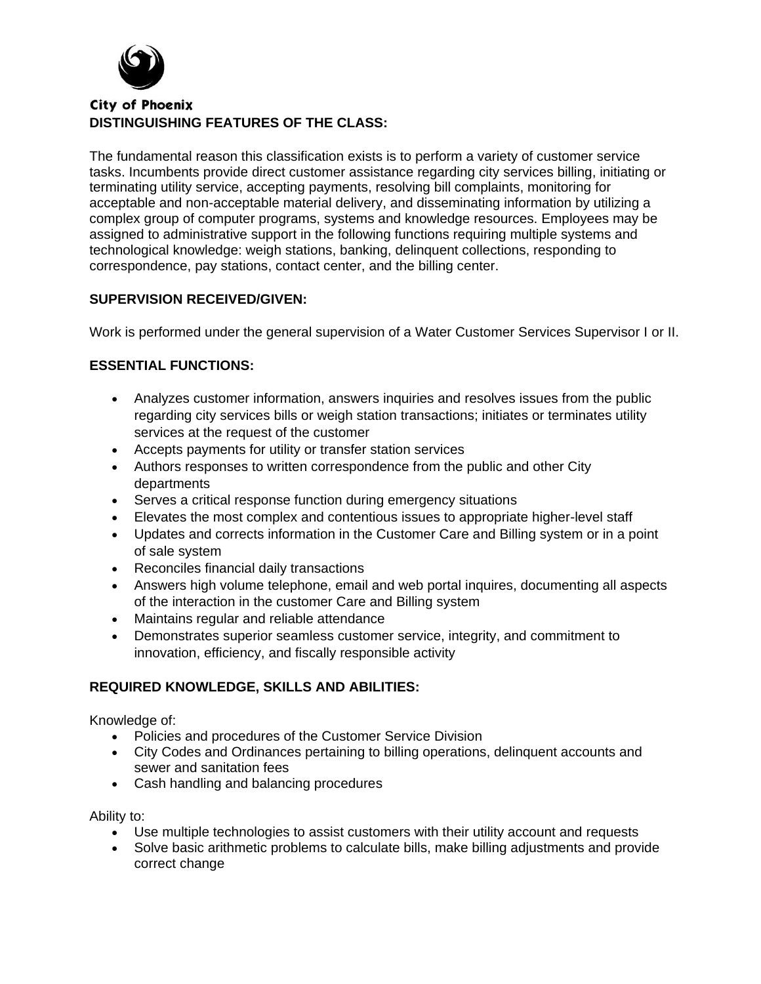

# **City of Phoenix DISTINGUISHING FEATURES OF THE CLASS:**

The fundamental reason this classification exists is to perform a variety of customer service tasks. Incumbents provide direct customer assistance regarding city services billing, initiating or terminating utility service, accepting payments, resolving bill complaints, monitoring for acceptable and non-acceptable material delivery, and disseminating information by utilizing a complex group of computer programs, systems and knowledge resources. Employees may be assigned to administrative support in the following functions requiring multiple systems and technological knowledge: weigh stations, banking, delinquent collections, responding to correspondence, pay stations, contact center, and the billing center.

#### **SUPERVISION RECEIVED/GIVEN:**

Work is performed under the general supervision of a Water Customer Services Supervisor I or II.

## **ESSENTIAL FUNCTIONS:**

- Analyzes customer information, answers inquiries and resolves issues from the public regarding city services bills or weigh station transactions; initiates or terminates utility services at the request of the customer
- Accepts payments for utility or transfer station services
- Authors responses to written correspondence from the public and other City departments
- Serves a critical response function during emergency situations
- Elevates the most complex and contentious issues to appropriate higher-level staff
- Updates and corrects information in the Customer Care and Billing system or in a point of sale system
- Reconciles financial daily transactions
- Answers high volume telephone, email and web portal inquires, documenting all aspects of the interaction in the customer Care and Billing system
- Maintains regular and reliable attendance
- Demonstrates superior seamless customer service, integrity, and commitment to innovation, efficiency, and fiscally responsible activity

## **REQUIRED KNOWLEDGE, SKILLS AND ABILITIES:**

Knowledge of:

- Policies and procedures of the Customer Service Division
- City Codes and Ordinances pertaining to billing operations, delinquent accounts and sewer and sanitation fees
- Cash handling and balancing procedures

Ability to:

- Use multiple technologies to assist customers with their utility account and requests
- Solve basic arithmetic problems to calculate bills, make billing adjustments and provide correct change